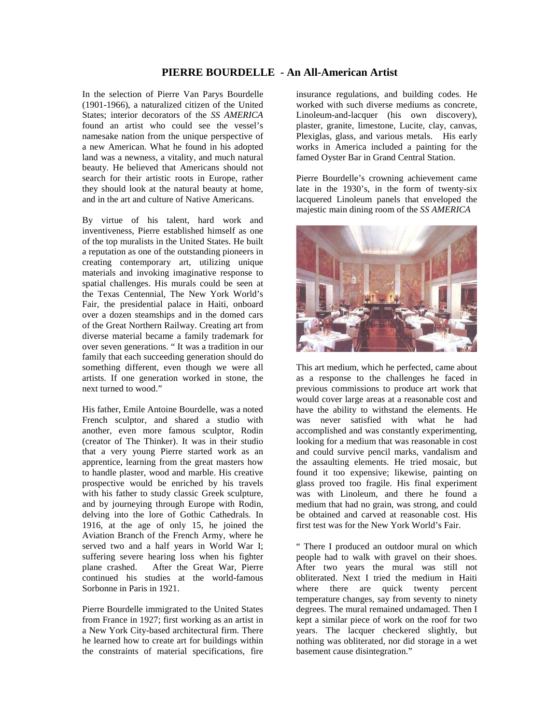## **PIERRE BOURDELLE - An All-American Artist**

In the selection of Pierre Van Parys Bourdelle (1901-1966), a naturalized citizen of the United States; interior decorators of the *SS AMERICA* found an artist who could see the vessel's namesake nation from the unique perspective of a new American. What he found in his adopted land was a newness, a vitality, and much natural beauty. He believed that Americans should not search for their artistic roots in Europe, rather they should look at the natural beauty at home, and in the art and culture of Native Americans.

By virtue of his talent, hard work and inventiveness, Pierre established himself as one of the top muralists in the United States. He built a reputation as one of the outstanding pioneers in creating contemporary art, utilizing unique materials and invoking imaginative response to spatial challenges. His murals could be seen at the Texas Centennial, The New York World's Fair, the presidential palace in Haiti, onboard over a dozen steamships and in the domed cars of the Great Northern Railway. Creating art from diverse material became a family trademark for over seven generations. " It was a tradition in our family that each succeeding generation should do something different, even though we were all artists. If one generation worked in stone, the next turned to wood."

His father, Emile Antoine Bourdelle, was a noted French sculptor, and shared a studio with another, even more famous sculptor, Rodin (creator of The Thinker). It was in their studio that a very young Pierre started work as an apprentice, learning from the great masters how to handle plaster, wood and marble. His creative prospective would be enriched by his travels with his father to study classic Greek sculpture, and by journeying through Europe with Rodin, delving into the lore of Gothic Cathedrals. In 1916, at the age of only 15, he joined the Aviation Branch of the French Army, where he served two and a half years in World War I; suffering severe hearing loss when his fighter plane crashed. After the Great War, Pierre continued his studies at the world-famous Sorbonne in Paris in 1921.

Pierre Bourdelle immigrated to the United States from France in 1927; first working as an artist in a New York City-based architectural firm. There he learned how to create art for buildings within the constraints of material specifications, fire

insurance regulations, and building codes. He worked with such diverse mediums as concrete, Linoleum-and-lacquer (his own discovery), plaster, granite, limestone, Lucite, clay, canvas, Plexiglas, glass, and various metals. His early works in America included a painting for the famed Oyster Bar in Grand Central Station.

Pierre Bourdelle's crowning achievement came late in the 1930's, in the form of twenty-six lacquered Linoleum panels that enveloped the majestic main dining room of the *SS AMERICA* 



This art medium, which he perfected, came about as a response to the challenges he faced in previous commissions to produce art work that would cover large areas at a reasonable cost and have the ability to withstand the elements. He was never satisfied with what he had accomplished and was constantly experimenting, looking for a medium that was reasonable in cost and could survive pencil marks, vandalism and the assaulting elements. He tried mosaic, but found it too expensive; likewise, painting on glass proved too fragile. His final experiment was with Linoleum, and there he found a medium that had no grain, was strong, and could be obtained and carved at reasonable cost. His first test was for the New York World's Fair.

" There I produced an outdoor mural on which people had to walk with gravel on their shoes. After two years the mural was still not obliterated. Next I tried the medium in Haiti where there are quick twenty percent temperature changes, say from seventy to ninety degrees. The mural remained undamaged. Then I kept a similar piece of work on the roof for two years. The lacquer checkered slightly, but nothing was obliterated, nor did storage in a wet basement cause disintegration."